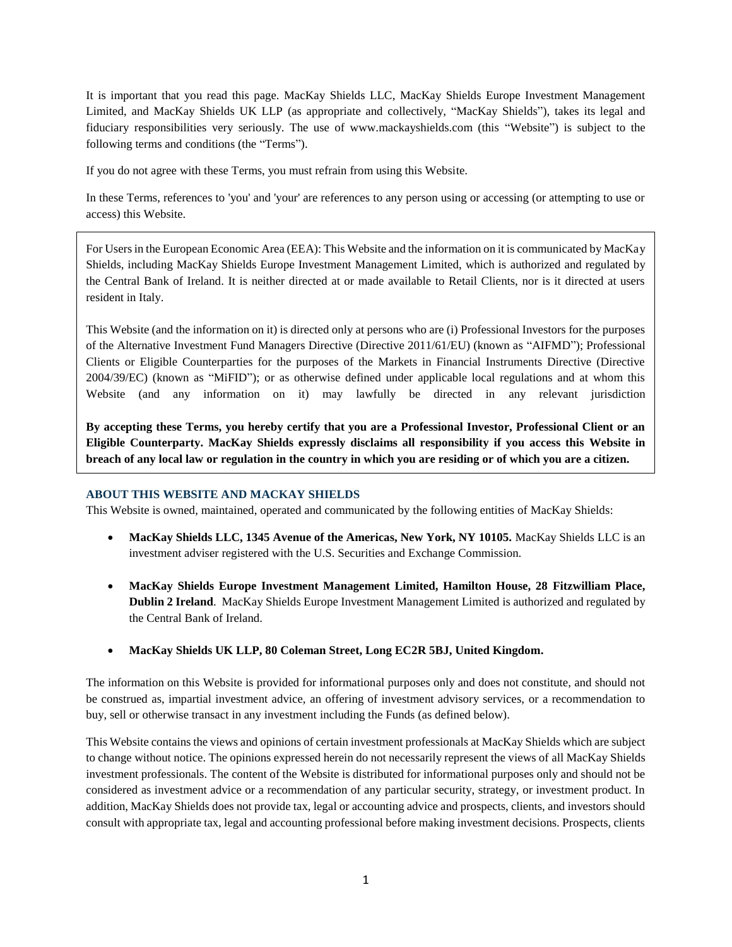It is important that you read this page. MacKay Shields LLC, MacKay Shields Europe Investment Management Limited, and MacKay Shields UK LLP (as appropriate and collectively, "MacKay Shields"), takes its legal and fiduciary responsibilities very seriously. The use of www.mackayshields.com (this "Website") is subject to the following terms and conditions (the "Terms").

If you do not agree with these Terms, you must refrain from using this Website.

In these Terms, references to 'you' and 'your' are references to any person using or accessing (or attempting to use or access) this Website.

For Users in the European Economic Area (EEA): This Website and the information on it is communicated by MacKay Shields, including MacKay Shields Europe Investment Management Limited, which is authorized and regulated by the Central Bank of Ireland. It is neither directed at or made available to Retail Clients, nor is it directed at users resident in Italy.

This Website (and the information on it) is directed only at persons who are (i) Professional Investors for the purposes of the Alternative Investment Fund Managers Directive (Directive 2011/61/EU) (known as "AIFMD"); Professional Clients or Eligible Counterparties for the purposes of the Markets in Financial Instruments Directive (Directive 2004/39/EC) (known as "MiFID"); or as otherwise defined under applicable local regulations and at whom this Website (and any information on it) may lawfully be directed in any relevant jurisdiction

**By accepting these Terms, you hereby certify that you are a Professional Investor, Professional Client or an Eligible Counterparty. MacKay Shields expressly disclaims all responsibility if you access this Website in breach of any local law or regulation in the country in which you are residing or of which you are a citizen.**

### **ABOUT THIS WEBSITE AND MACKAY SHIELDS**

This Website is owned, maintained, operated and communicated by the following entities of MacKay Shields:

- **MacKay Shields LLC, 1345 Avenue of the Americas, New York, NY 10105.** MacKay Shields LLC is an investment adviser registered with the U.S. Securities and Exchange Commission.
- **MacKay Shields Europe Investment Management Limited, Hamilton House, 28 Fitzwilliam Place, Dublin 2 Ireland**. MacKay Shields Europe Investment Management Limited is authorized and regulated by the Central Bank of Ireland.
- **MacKay Shields UK LLP, 80 Coleman Street, Long EC2R 5BJ, United Kingdom.**

The information on this Website is provided for informational purposes only and does not constitute, and should not be construed as, impartial investment advice, an offering of investment advisory services, or a recommendation to buy, sell or otherwise transact in any investment including the Funds (as defined below).

This Website contains the views and opinions of certain investment professionals at MacKay Shields which are subject to change without notice. The opinions expressed herein do not necessarily represent the views of all MacKay Shields investment professionals. The content of the Website is distributed for informational purposes only and should not be considered as investment advice or a recommendation of any particular security, strategy, or investment product. In addition, MacKay Shields does not provide tax, legal or accounting advice and prospects, clients, and investors should consult with appropriate tax, legal and accounting professional before making investment decisions. Prospects, clients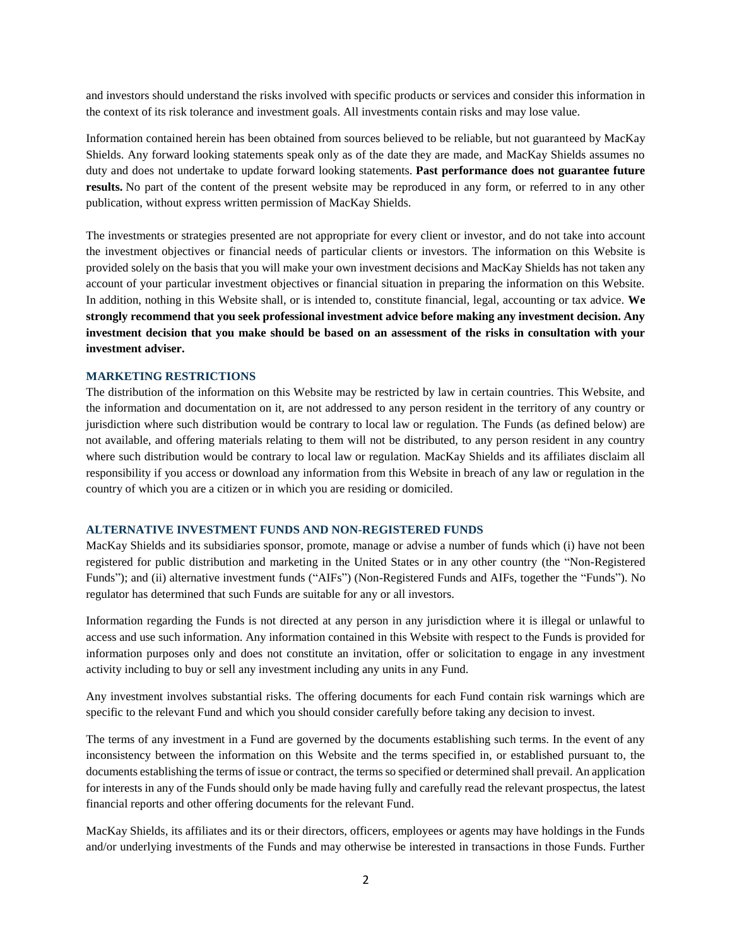and investors should understand the risks involved with specific products or services and consider this information in the context of its risk tolerance and investment goals. All investments contain risks and may lose value.

Information contained herein has been obtained from sources believed to be reliable, but not guaranteed by MacKay Shields. Any forward looking statements speak only as of the date they are made, and MacKay Shields assumes no duty and does not undertake to update forward looking statements. **Past performance does not guarantee future results.** No part of the content of the present website may be reproduced in any form, or referred to in any other publication, without express written permission of MacKay Shields.

The investments or strategies presented are not appropriate for every client or investor, and do not take into account the investment objectives or financial needs of particular clients or investors. The information on this Website is provided solely on the basis that you will make your own investment decisions and MacKay Shields has not taken any account of your particular investment objectives or financial situation in preparing the information on this Website. In addition, nothing in this Website shall, or is intended to, constitute financial, legal, accounting or tax advice. **We strongly recommend that you seek professional investment advice before making any investment decision. Any investment decision that you make should be based on an assessment of the risks in consultation with your investment adviser.**

### **MARKETING RESTRICTIONS**

The distribution of the information on this Website may be restricted by law in certain countries. This Website, and the information and documentation on it, are not addressed to any person resident in the territory of any country or jurisdiction where such distribution would be contrary to local law or regulation. The Funds (as defined below) are not available, and offering materials relating to them will not be distributed, to any person resident in any country where such distribution would be contrary to local law or regulation. MacKay Shields and its affiliates disclaim all responsibility if you access or download any information from this Website in breach of any law or regulation in the country of which you are a citizen or in which you are residing or domiciled.

#### **ALTERNATIVE INVESTMENT FUNDS AND NON-REGISTERED FUNDS**

MacKay Shields and its subsidiaries sponsor, promote, manage or advise a number of funds which (i) have not been registered for public distribution and marketing in the United States or in any other country (the "Non-Registered Funds"); and (ii) alternative investment funds ("AIFs") (Non-Registered Funds and AIFs, together the "Funds"). No regulator has determined that such Funds are suitable for any or all investors.

Information regarding the Funds is not directed at any person in any jurisdiction where it is illegal or unlawful to access and use such information. Any information contained in this Website with respect to the Funds is provided for information purposes only and does not constitute an invitation, offer or solicitation to engage in any investment activity including to buy or sell any investment including any units in any Fund.

Any investment involves substantial risks. The offering documents for each Fund contain risk warnings which are specific to the relevant Fund and which you should consider carefully before taking any decision to invest.

The terms of any investment in a Fund are governed by the documents establishing such terms. In the event of any inconsistency between the information on this Website and the terms specified in, or established pursuant to, the documents establishing the terms of issue or contract, the terms so specified or determined shall prevail. An application for interests in any of the Funds should only be made having fully and carefully read the relevant prospectus, the latest financial reports and other offering documents for the relevant Fund.

MacKay Shields, its affiliates and its or their directors, officers, employees or agents may have holdings in the Funds and/or underlying investments of the Funds and may otherwise be interested in transactions in those Funds. Further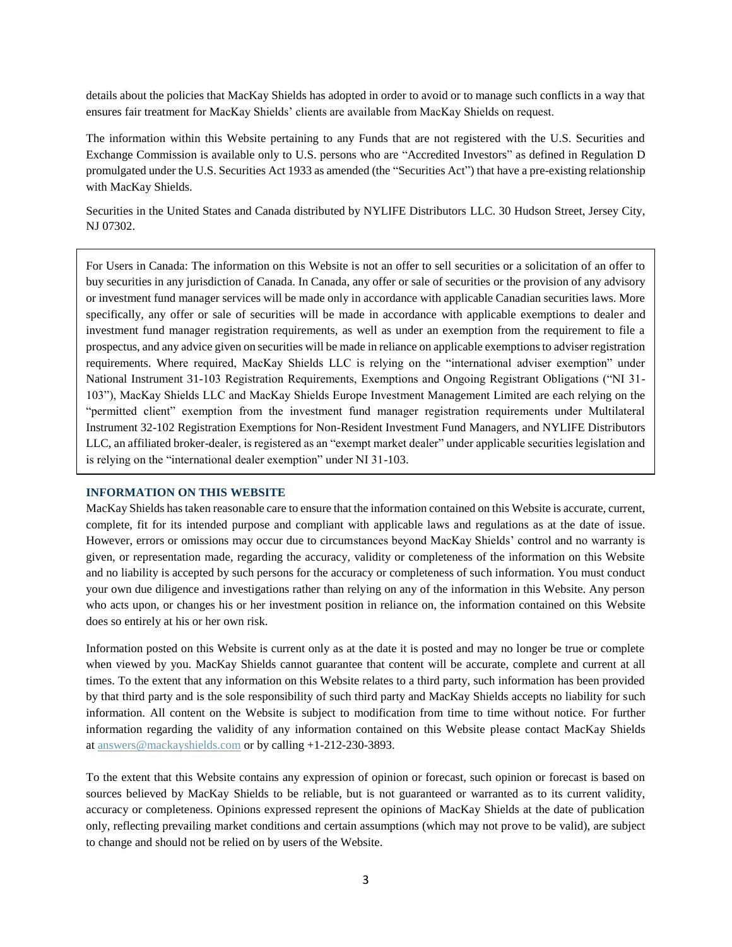details about the policies that MacKay Shields has adopted in order to avoid or to manage such conflicts in a way that ensures fair treatment for MacKay Shields' clients are available from MacKay Shields on request.

The information within this Website pertaining to any Funds that are not registered with the U.S. Securities and Exchange Commission is available only to U.S. persons who are "Accredited Investors" as defined in Regulation D promulgated under the U.S. Securities Act 1933 as amended (the "Securities Act") that have a pre-existing relationship with MacKay Shields.

Securities in the United States and Canada distributed by NYLIFE Distributors LLC. 30 Hudson Street, Jersey City, NJ 07302.

For Users in Canada: The information on this Website is not an offer to sell securities or a solicitation of an offer to buy securities in any jurisdiction of Canada. In Canada, any offer or sale of securities or the provision of any advisory or investment fund manager services will be made only in accordance with applicable Canadian securities laws. More specifically, any offer or sale of securities will be made in accordance with applicable exemptions to dealer and investment fund manager registration requirements, as well as under an exemption from the requirement to file a prospectus, and any advice given on securities will be made in reliance on applicable exemptions to adviser registration requirements. Where required, MacKay Shields LLC is relying on the "international adviser exemption" under National Instrument 31-103 Registration Requirements, Exemptions and Ongoing Registrant Obligations ("NI 31- 103"), MacKay Shields LLC and MacKay Shields Europe Investment Management Limited are each relying on the "permitted client" exemption from the investment fund manager registration requirements under Multilateral Instrument 32-102 Registration Exemptions for Non-Resident Investment Fund Managers, and NYLIFE Distributors LLC, an affiliated broker-dealer, is registered as an "exempt market dealer" under applicable securities legislation and is relying on the "international dealer exemption" under NI 31-103.

# **INFORMATION ON THIS WEBSITE**

MacKay Shields has taken reasonable care to ensure that the information contained on this Website is accurate, current, complete, fit for its intended purpose and compliant with applicable laws and regulations as at the date of issue. However, errors or omissions may occur due to circumstances beyond MacKay Shields' control and no warranty is given, or representation made, regarding the accuracy, validity or completeness of the information on this Website and no liability is accepted by such persons for the accuracy or completeness of such information. You must conduct your own due diligence and investigations rather than relying on any of the information in this Website. Any person who acts upon, or changes his or her investment position in reliance on, the information contained on this Website does so entirely at his or her own risk.

Information posted on this Website is current only as at the date it is posted and may no longer be true or complete when viewed by you. MacKay Shields cannot guarantee that content will be accurate, complete and current at all times. To the extent that any information on this Website relates to a third party, such information has been provided by that third party and is the sole responsibility of such third party and MacKay Shields accepts no liability for such information. All content on the Website is subject to modification from time to time without notice. For further information regarding the validity of any information contained on this Website please contact MacKay Shields at [answers@mackayshields.com](mailto:answers@mackayshields.com) or by calling +1-212-230-3893.

To the extent that this Website contains any expression of opinion or forecast, such opinion or forecast is based on sources believed by MacKay Shields to be reliable, but is not guaranteed or warranted as to its current validity, accuracy or completeness. Opinions expressed represent the opinions of MacKay Shields at the date of publication only, reflecting prevailing market conditions and certain assumptions (which may not prove to be valid), are subject to change and should not be relied on by users of the Website.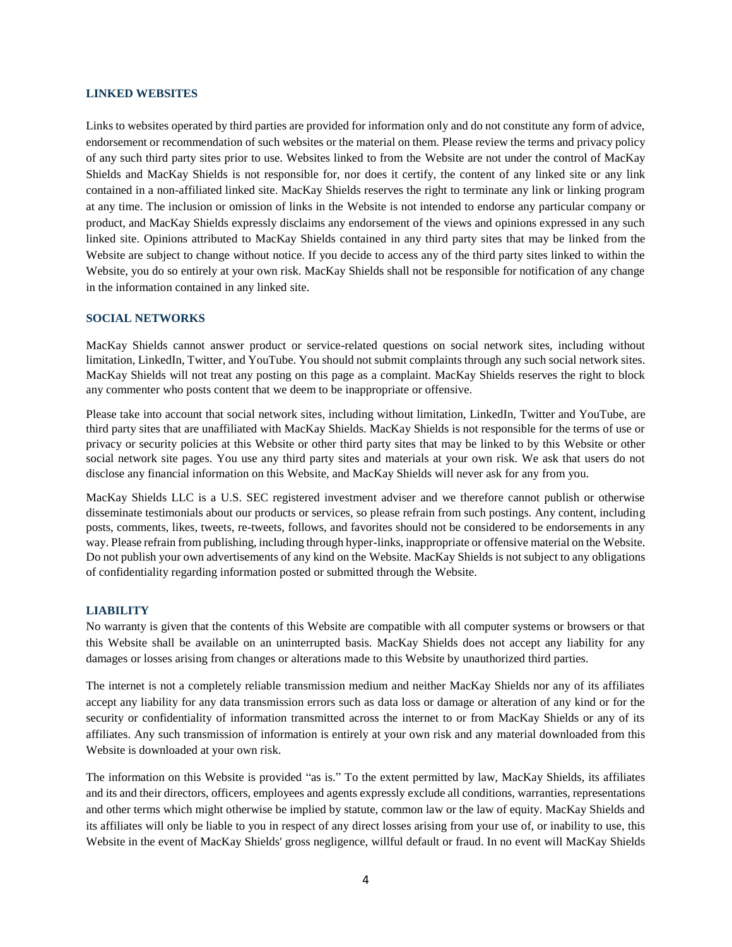## **LINKED WEBSITES**

Links to websites operated by third parties are provided for information only and do not constitute any form of advice, endorsement or recommendation of such websites or the material on them. Please review the terms and privacy policy of any such third party sites prior to use. Websites linked to from the Website are not under the control of MacKay Shields and MacKay Shields is not responsible for, nor does it certify, the content of any linked site or any link contained in a non-affiliated linked site. MacKay Shields reserves the right to terminate any link or linking program at any time. The inclusion or omission of links in the Website is not intended to endorse any particular company or product, and MacKay Shields expressly disclaims any endorsement of the views and opinions expressed in any such linked site. Opinions attributed to MacKay Shields contained in any third party sites that may be linked from the Website are subject to change without notice. If you decide to access any of the third party sites linked to within the Website, you do so entirely at your own risk. MacKay Shields shall not be responsible for notification of any change in the information contained in any linked site.

# **SOCIAL NETWORKS**

MacKay Shields cannot answer product or service-related questions on social network sites, including without limitation, LinkedIn, Twitter, and YouTube. You should not submit complaints through any such social network sites. MacKay Shields will not treat any posting on this page as a complaint. MacKay Shields reserves the right to block any commenter who posts content that we deem to be inappropriate or offensive.

Please take into account that social network sites, including without limitation, LinkedIn, Twitter and YouTube, are third party sites that are unaffiliated with MacKay Shields. MacKay Shields is not responsible for the terms of use or privacy or security policies at this Website or other third party sites that may be linked to by this Website or other social network site pages. You use any third party sites and materials at your own risk. We ask that users do not disclose any financial information on this Website, and MacKay Shields will never ask for any from you.

MacKay Shields LLC is a U.S. SEC registered investment adviser and we therefore cannot publish or otherwise disseminate testimonials about our products or services, so please refrain from such postings. Any content, including posts, comments, likes, tweets, re-tweets, follows, and favorites should not be considered to be endorsements in any way. Please refrain from publishing, including through hyper-links, inappropriate or offensive material on the Website. Do not publish your own advertisements of any kind on the Website. MacKay Shields is not subject to any obligations of confidentiality regarding information posted or submitted through the Website.

# **LIABILITY**

No warranty is given that the contents of this Website are compatible with all computer systems or browsers or that this Website shall be available on an uninterrupted basis. MacKay Shields does not accept any liability for any damages or losses arising from changes or alterations made to this Website by unauthorized third parties.

The internet is not a completely reliable transmission medium and neither MacKay Shields nor any of its affiliates accept any liability for any data transmission errors such as data loss or damage or alteration of any kind or for the security or confidentiality of information transmitted across the internet to or from MacKay Shields or any of its affiliates. Any such transmission of information is entirely at your own risk and any material downloaded from this Website is downloaded at your own risk.

The information on this Website is provided "as is." To the extent permitted by law, MacKay Shields, its affiliates and its and their directors, officers, employees and agents expressly exclude all conditions, warranties, representations and other terms which might otherwise be implied by statute, common law or the law of equity. MacKay Shields and its affiliates will only be liable to you in respect of any direct losses arising from your use of, or inability to use, this Website in the event of MacKay Shields' gross negligence, willful default or fraud. In no event will MacKay Shields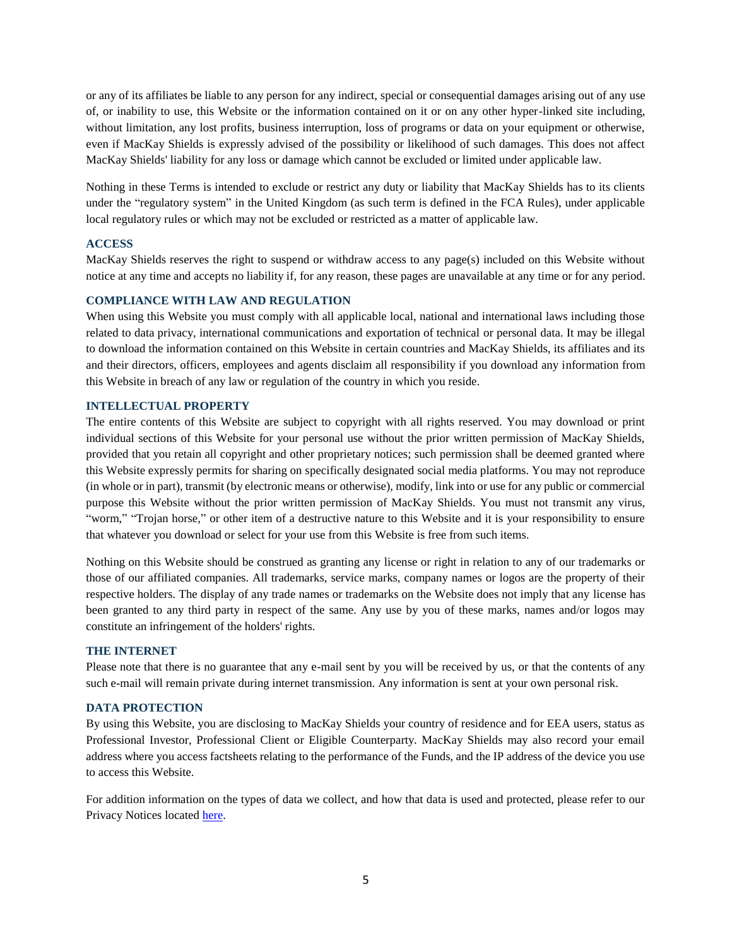or any of its affiliates be liable to any person for any indirect, special or consequential damages arising out of any use of, or inability to use, this Website or the information contained on it or on any other hyper-linked site including, without limitation, any lost profits, business interruption, loss of programs or data on your equipment or otherwise, even if MacKay Shields is expressly advised of the possibility or likelihood of such damages. This does not affect MacKay Shields' liability for any loss or damage which cannot be excluded or limited under applicable law.

Nothing in these Terms is intended to exclude or restrict any duty or liability that MacKay Shields has to its clients under the "regulatory system" in the United Kingdom (as such term is defined in the FCA Rules), under applicable local regulatory rules or which may not be excluded or restricted as a matter of applicable law.

### **ACCESS**

MacKay Shields reserves the right to suspend or withdraw access to any page(s) included on this Website without notice at any time and accepts no liability if, for any reason, these pages are unavailable at any time or for any period.

#### **COMPLIANCE WITH LAW AND REGULATION**

When using this Website you must comply with all applicable local, national and international laws including those related to data privacy, international communications and exportation of technical or personal data. It may be illegal to download the information contained on this Website in certain countries and MacKay Shields, its affiliates and its and their directors, officers, employees and agents disclaim all responsibility if you download any information from this Website in breach of any law or regulation of the country in which you reside.

#### **INTELLECTUAL PROPERTY**

The entire contents of this Website are subject to copyright with all rights reserved. You may download or print individual sections of this Website for your personal use without the prior written permission of MacKay Shields, provided that you retain all copyright and other proprietary notices; such permission shall be deemed granted where this Website expressly permits for sharing on specifically designated social media platforms. You may not reproduce (in whole or in part), transmit (by electronic means or otherwise), modify, link into or use for any public or commercial purpose this Website without the prior written permission of MacKay Shields. You must not transmit any virus, "worm," "Trojan horse," or other item of a destructive nature to this Website and it is your responsibility to ensure that whatever you download or select for your use from this Website is free from such items.

Nothing on this Website should be construed as granting any license or right in relation to any of our trademarks or those of our affiliated companies. All trademarks, service marks, company names or logos are the property of their respective holders. The display of any trade names or trademarks on the Website does not imply that any license has been granted to any third party in respect of the same. Any use by you of these marks, names and/or logos may constitute an infringement of the holders' rights.

## **THE INTERNET**

Please note that there is no guarantee that any e-mail sent by you will be received by us, or that the contents of any such e-mail will remain private during internet transmission. Any information is sent at your own personal risk.

#### **DATA PROTECTION**

By using this Website, you are disclosing to MacKay Shields your country of residence and for EEA users, status as Professional Investor, Professional Client or Eligible Counterparty. MacKay Shields may also record your email address where you access factsheets relating to the performance of the Funds, and the IP address of the device you use to access this Website.

For addition information on the types of data we collect, and how that data is used and protected, please refer to our Privacy Notices located [here.](https://www.newyorklifeinvestments.com/mackay-shields/info/privacy-notices)